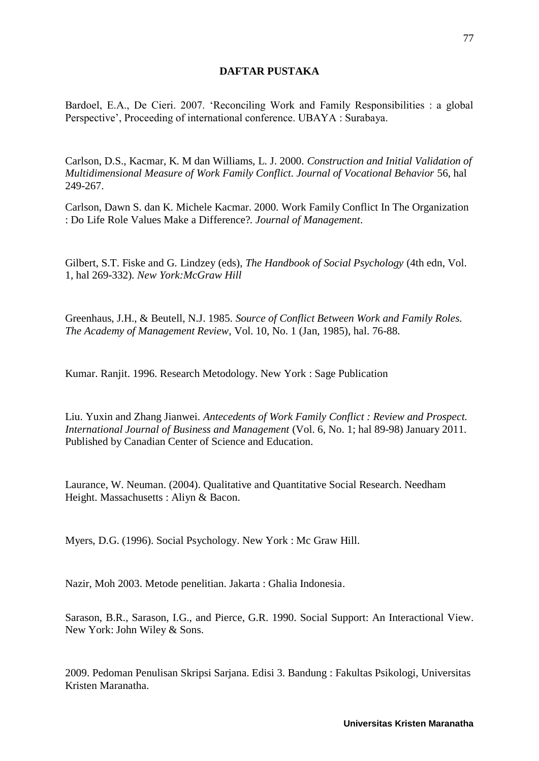## **DAFTAR PUSTAKA**

Bardoel, E.A., De Cieri. 2007. 'Reconciling Work and Family Responsibilities : a global Perspective', Proceeding of international conference. UBAYA : Surabaya.

Carlson, D.S., Kacmar, K. M dan Williams, L. J. 2000. *Construction and Initial Validation of Multidimensional Measure of Work Family Conflict. Journal of Vocational Behavior* 56, hal 249-267.

Carlson, Dawn S. dan K. Michele Kacmar. 2000. Work Family Conflict In The Organization : Do Life Role Values Make a Difference?*. Journal of Management*.

Gilbert, S.T. Fiske and G. Lindzey (eds), *The Handbook of Social Psychology* (4th edn, Vol. 1, hal 269-332)*. New York:McGraw Hill*

Greenhaus, J.H., & Beutell, N.J. 1985. *Source of Conflict Between Work and Family Roles. The Academy of Management Review,* Vol. 10, No. 1 (Jan, 1985), hal. 76-88.

Kumar. Ranjit. 1996. Research Metodology. New York : Sage Publication

Liu. Yuxin and Zhang Jianwei. *Antecedents of Work Family Conflict : Review and Prospect. International Journal of Business and Management* (Vol. 6, No. 1; hal 89-98) January 2011. Published by Canadian Center of Science and Education.

Laurance, W. Neuman. (2004). Qualitative and Quantitative Social Research. Needham Height. Massachusetts : Aliyn & Bacon.

Myers, D.G. (1996). Social Psychology. New York : Mc Graw Hill.

Nazir, Moh 2003. Metode penelitian. Jakarta : Ghalia Indonesia.

Sarason, B.R., Sarason, I.G., and Pierce, G.R. 1990. Social Support: An Interactional View. New York: John Wiley & Sons.

2009. Pedoman Penulisan Skripsi Sarjana. Edisi 3. Bandung : Fakultas Psikologi, Universitas Kristen Maranatha.